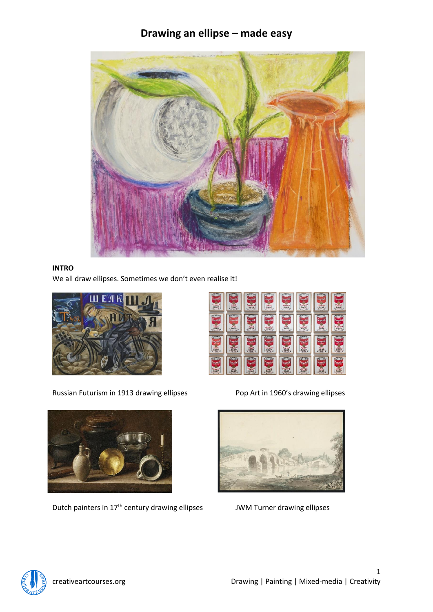

# **INTRO**

We all draw ellipses. Sometimes we don't even realise it!



Russian Futurism in 1913 drawing ellipses Pop Art in 1960's drawing ellipses



Dutch painters in 17<sup>th</sup> century drawing ellipses JWM Turner drawing ellipses



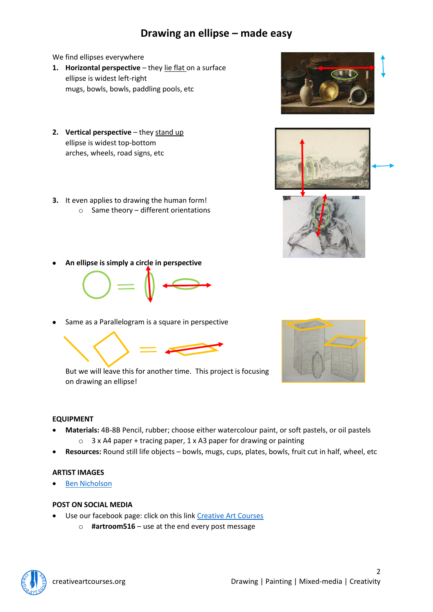We find ellipses everywhere

- **1. Horizontal perspective** they lie flat on a surface ellipse is widest left-right mugs, bowls, bowls, paddling pools, etc
- **2. Vertical perspective** they stand up ellipse is widest top-bottom arches, wheels, road signs, etc
- **3.** It even applies to drawing the human form!
	- $\circ$  Same theory different orientations





• **An ellipse is simply a circle in perspective**



Same as a Parallelogram is a square in perspective







#### **EQUIPMENT**

- **Materials:** 4B-8B Pencil, rubber; choose either watercolour paint, or soft pastels, or oil pastels o 3 x A4 paper + tracing paper, 1 x A3 paper for drawing or painting
- **Resources:** Round still life objects bowls, mugs, cups, plates, bowls, fruit cut in half, wheel, etc

#### **ARTIST IMAGES**

• [Ben Nicholson](https://www.google.com/search?q=ben+nicholson+still+life+drawing&tbm=isch&ved=2ahUKEwisnoPh1anpAhUGYBoKHVapCNYQ2-cCegQIABAA&oq=ben+nicholson+still+life+drawing&gs_lcp=CgNpbWcQAzIECCMQJzIGCAAQCBAeOgQIABAeOgYIABAFEB5QznVY4YQBYLmHAWgAcAB4AIABQYgBtQOSAQE4mAEAoAEBqgELZ3dzLXdpei1pbWc&sclient=img&ei=oCW4XqzOEIbAadbSorAN&bih=749&biw=1684&tbs=isz%3Al&hl=en#imgrc=wOcAYNEkx-LXQM)

#### **POST ON SOCIAL MEDIA**

- Use our facebook page: click on this link [Creative Art Courses](https://www.facebook.com/Creative-Art-Courses-102713489895837/?ref=bookmarks)
	- o **#artroom516** use at the end every post message

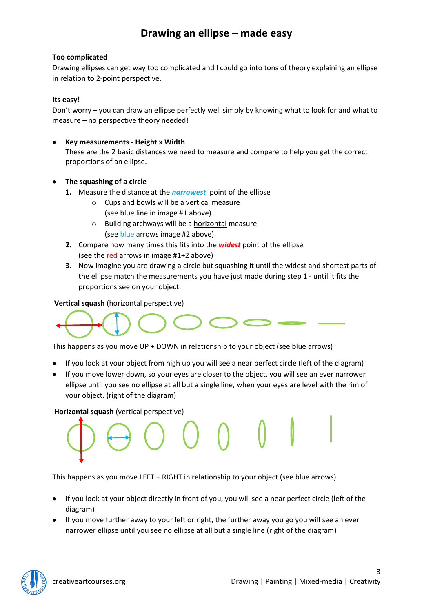### **Too complicated**

Drawing ellipses can get way too complicated and I could go into tons of theory explaining an ellipse in relation to 2-point perspective.

### **Its easy!**

Don't worry – you can draw an ellipse perfectly well simply by knowing what to look for and what to measure – no perspective theory needed!

## • **Key measurements - Height x Width**

These are the 2 basic distances we need to measure and compare to help you get the correct proportions of an ellipse.

# • **The squashing of a circle**

- **1.** Measure the distance at the *narrowest* point of the ellipse
	- $\circ$  Cups and bowls will be a vertical measure (see blue line in image #1 above)
	- o Building archways will be a horizontal measure (see blue arrows image #2 above)
- **2.** Compare how many times this fits into the *widest* point of the ellipse (see the red arrows in image #1+2 above)
- **3.** Now imagine you are drawing a circle but squashing it until the widest and shortest parts of the ellipse match the measurements you have just made during step 1 - until it fits the proportions see on your object.

## **Vertical squash** (horizontal perspective)



This happens as you move UP + DOWN in relationship to your object (see blue arrows)

- If you look at your object from high up you will see a near perfect circle (left of the diagram)
- If you move lower down, so your eyes are closer to the object, you will see an ever narrower ellipse until you see no ellipse at all but a single line, when your eyes are level with the rim of your object. (right of the diagram)

### **Horizontal squash** (vertical perspective)

This happens as you move LEFT + RIGHT in relationship to your object (see blue arrows)

- If you look at your object directly in front of you, you will see a near perfect circle (left of the diagram)
- If you move further away to your left or right, the further away you go you will see an ever narrower ellipse until you see no ellipse at all but a single line (right of the diagram)